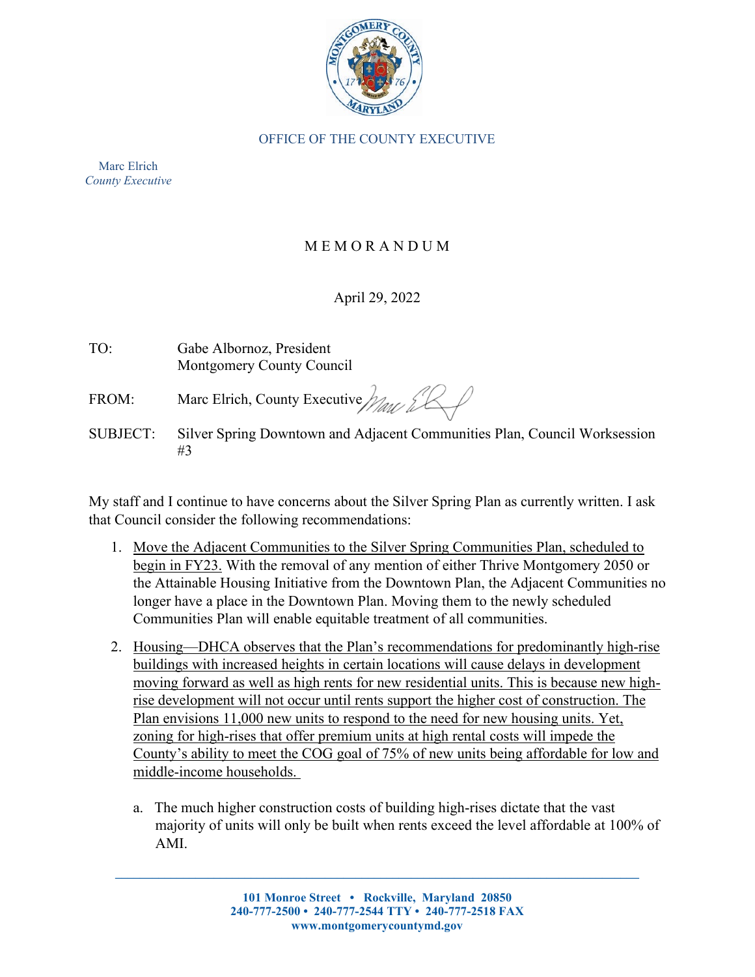

## OFFICE OF THE COUNTY EXECUTIVE

Marc Elrich *County Executive*

## M E M O R A N D U M

## April 29, 2022

| TO: | Gabe Albornoz, President  |
|-----|---------------------------|
|     | Montgomery County Council |

FROM: Marc Elrich, County Executive  $\frac{1}{2}$ 

SUBJECT: Silver Spring Downtown and Adjacent Communities Plan, Council Worksession #3

My staff and I continue to have concerns about the Silver Spring Plan as currently written. I ask that Council consider the following recommendations:

- 1.Move the Adjacent Communities to the Silver Spring Communities Plan, scheduled to begin in FY23. With the removal of any mention of either Thrive Montgomery 2050 or the Attainable Housing Initiative from the Downtown Plan, the Adjacent Communities no longer have a place in the Downtown Plan. Moving them to the newly scheduled Communities Plan will enable equitable treatment of all communities.
- 2. Housing—DHCA observes that the Plan's recommendations for predominantly high-rise buildings with increased heights in certain locations will cause delays in development moving forward as well as high rents for new residential units. This is because new highrise development will not occur until rents support the higher cost of construction. The Plan envisions 11,000 new units to respond to the need for new housing units. Yet, zoning for high-rises that offer premium units at high rental costs will impede the County's ability to meet the COG goal of 75% of new units being affordable for low and middle-income households.
	- a. The much higher construction costs of building high-rises dictate that the vast majority of units will only be built when rents exceed the level affordable at 100% of AMI.

**\_\_\_\_\_\_\_\_\_\_\_\_\_\_\_\_\_\_\_\_\_\_\_\_\_\_\_\_\_\_\_\_\_\_\_\_\_\_\_\_\_\_\_\_\_\_\_\_\_\_\_\_\_\_\_\_\_\_\_\_\_\_\_\_\_\_\_\_\_\_\_\_\_\_\_\_\_\_\_\_\_\_\_\_\_**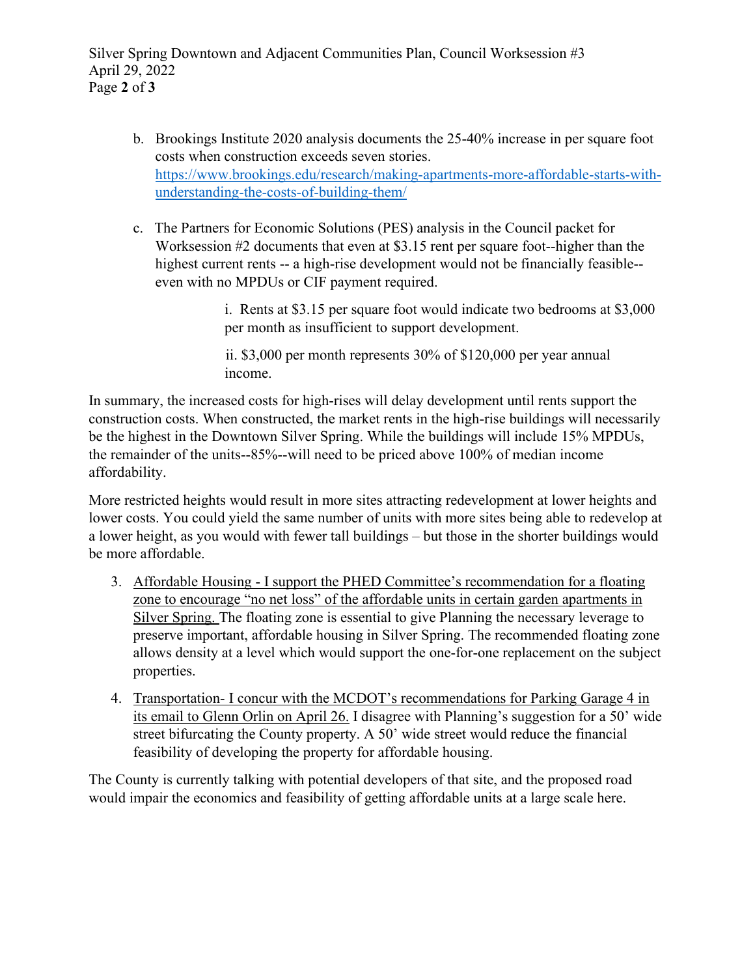Silver Spring Downtown and Adjacent Communities Plan, Council Worksession #3 April 29, 2022 Page **2** of **3**

- b. Brookings Institute 2020 analysis documents the 25-40% increase in per square foot costs when construction exceeds seven stories. [https://www.brookings.edu/research/making-apartments-more-affordable-starts-with](https://www.brookings.edu/research/making-apartments-more-affordable-starts-with-understanding-the-costs-of-building-them/)[understanding-the-costs-of-building-them/](https://www.brookings.edu/research/making-apartments-more-affordable-starts-with-understanding-the-costs-of-building-them/)
- c. The Partners for Economic Solutions (PES) analysis in the Council packet for Worksession #2 documents that even at \$3.15 rent per square foot--higher than the highest current rents -- a high-rise development would not be financially feasible- even with no MPDUs or CIF payment required.

i. Rents at \$3.15 per square foot would indicate two bedrooms at \$3,000 per month as insufficient to support development.

ii. \$3,000 per month represents 30% of \$120,000 per year annual income.

In summary, the increased costs for high-rises will delay development until rents support the construction costs. When constructed, the market rents in the high-rise buildings will necessarily be the highest in the Downtown Silver Spring. While the buildings will include 15% MPDUs, the remainder of the units--85%--will need to be priced above 100% of median income affordability.

More restricted heights would result in more sites attracting redevelopment at lower heights and lower costs. You could yield the same number of units with more sites being able to redevelop at a lower height, as you would with fewer tall buildings – but those in the shorter buildings would be more affordable.

- 3. Affordable Housing I support the PHED Committee's recommendation for a floating zone to encourage "no net loss" of the affordable units in certain garden apartments in Silver Spring. The floating zone is essential to give Planning the necessary leverage to preserve important, affordable housing in Silver Spring. The recommended floating zone allows density at a level which would support the one-for-one replacement on the subject properties.
- 4. Transportation- I concur with the MCDOT's recommendations for Parking Garage 4 in its email to Glenn Orlin on April 26. I disagree with Planning's suggestion for a 50' wide street bifurcating the County property. A 50' wide street would reduce the financial feasibility of developing the property for affordable housing.

The County is currently talking with potential developers of that site, and the proposed road would impair the economics and feasibility of getting affordable units at a large scale here.